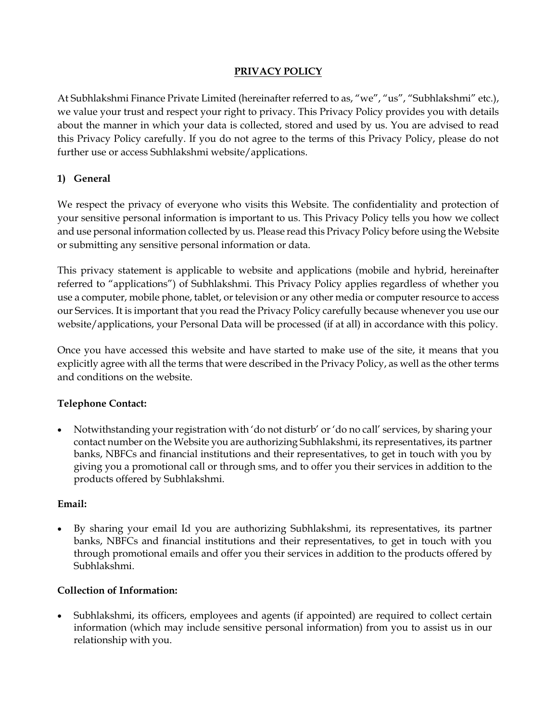### **PRIVACY POLICY**

At Subhlakshmi Finance Private Limited (hereinafter referred to as, "we", "us", "Subhlakshmi" etc.), we value your trust and respect your right to privacy. This Privacy Policy provides you with details about the manner in which your data is collected, stored and used by us. You are advised to read this Privacy Policy carefully. If you do not agree to the terms of this Privacy Policy, please do not further use or access Subhlakshmi website/applications.

### **1) General**

We respect the privacy of everyone who visits this Website. The confidentiality and protection of your sensitive personal information is important to us. This Privacy Policy tells you how we collect and use personal information collected by us. Please read this Privacy Policy before using the Website or submitting any sensitive personal information or data.

This privacy statement is applicable to website and applications (mobile and hybrid, hereinafter referred to "applications") of Subhlakshmi. This Privacy Policy applies regardless of whether you use a computer, mobile phone, tablet, or television or any other media or computer resource to access our Services. It is important that you read the Privacy Policy carefully because whenever you use our website/applications, your Personal Data will be processed (if at all) in accordance with this policy.

Once you have accessed this website and have started to make use of the site, it means that you explicitly agree with all the terms that were described in the Privacy Policy, as well as the other terms and conditions on the website.

# **Telephone Contact:**

 Notwithstanding your registration with 'do not disturb' or 'do no call' services, by sharing your contact number on the Website you are authorizing Subhlakshmi, its representatives, its partner banks, NBFCs and financial institutions and their representatives, to get in touch with you by giving you a promotional call or through sms, and to offer you their services in addition to the products offered by Subhlakshmi.

### **Email:**

 By sharing your email Id you are authorizing Subhlakshmi, its representatives, its partner banks, NBFCs and financial institutions and their representatives, to get in touch with you through promotional emails and offer you their services in addition to the products offered by Subhlakshmi.

### **Collection of Information:**

 Subhlakshmi, its officers, employees and agents (if appointed) are required to collect certain information (which may include sensitive personal information) from you to assist us in our relationship with you.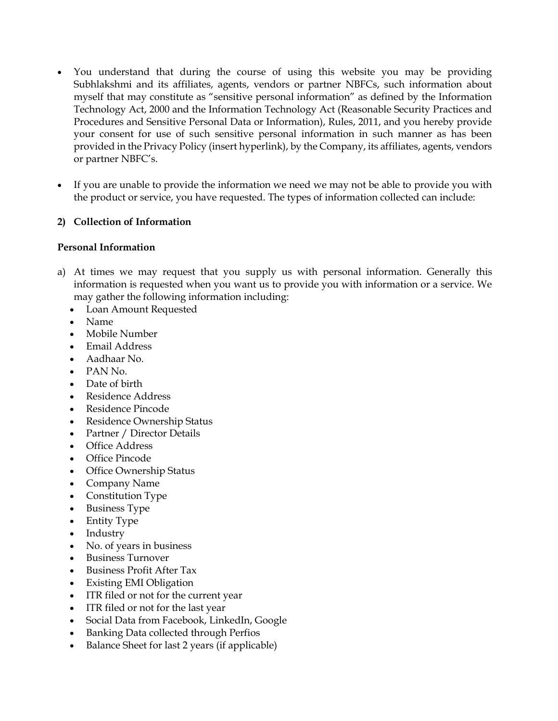- You understand that during the course of using this website you may be providing Subhlakshmi and its affiliates, agents, vendors or partner NBFCs, such information about myself that may constitute as "sensitive personal information" as defined by the Information Technology Act, 2000 and the Information Technology Act (Reasonable Security Practices and Procedures and Sensitive Personal Data or Information), Rules, 2011, and you hereby provide your consent for use of such sensitive personal information in such manner as has been provided in the Privacy Policy (insert hyperlink), by the Company, its affiliates, agents, vendors or partner NBFC's.
- If you are unable to provide the information we need we may not be able to provide you with the product or service, you have requested. The types of information collected can include:

#### **2) Collection of Information**

#### **Personal Information**

- a) At times we may request that you supply us with personal information. Generally this information is requested when you want us to provide you with information or a service. We may gather the following information including:
	- Loan Amount Requested
	- Name
	- Mobile Number
	- Email Address
	- Aadhaar No.
	- PAN No.
	- Date of birth
	- Residence Address
	- Residence Pincode
	- Residence Ownership Status
	- Partner / Director Details
	- Office Address
	- Office Pincode
	- Office Ownership Status
	- Company Name
	- Constitution Type
	- Business Type
	- Entity Type
	- Industry
	- No. of years in business
	- Business Turnover
	- Business Profit After Tax
	- Existing EMI Obligation
	- ITR filed or not for the current year
	- ITR filed or not for the last year
	- Social Data from Facebook, LinkedIn, Google
	- Banking Data collected through Perfios
	- Balance Sheet for last 2 years (if applicable)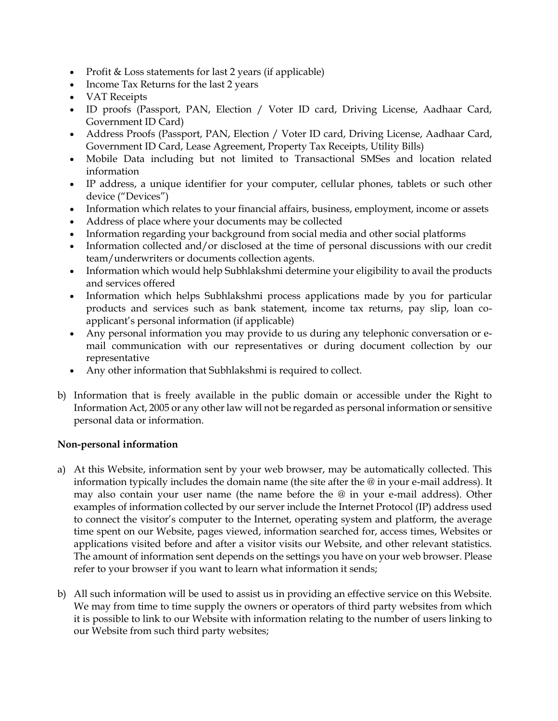- Profit & Loss statements for last 2 years (if applicable)
- Income Tax Returns for the last 2 years
- VAT Receipts
- ID proofs (Passport, PAN, Election / Voter ID card, Driving License, Aadhaar Card, Government ID Card)
- Address Proofs (Passport, PAN, Election / Voter ID card, Driving License, Aadhaar Card, Government ID Card, Lease Agreement, Property Tax Receipts, Utility Bills)
- Mobile Data including but not limited to Transactional SMSes and location related information
- IP address, a unique identifier for your computer, cellular phones, tablets or such other device ("Devices")
- Information which relates to your financial affairs, business, employment, income or assets
- Address of place where your documents may be collected
- Information regarding your background from social media and other social platforms
- Information collected and/or disclosed at the time of personal discussions with our credit team/underwriters or documents collection agents.
- Information which would help Subhlakshmi determine your eligibility to avail the products and services offered
- Information which helps Subhlakshmi process applications made by you for particular products and services such as bank statement, income tax returns, pay slip, loan coapplicant's personal information (if applicable)
- Any personal information you may provide to us during any telephonic conversation or email communication with our representatives or during document collection by our representative
- Any other information that Subhlakshmi is required to collect.
- b) Information that is freely available in the public domain or accessible under the Right to Information Act, 2005 or any other law will not be regarded as personal information or sensitive personal data or information.

### **Non-personal information**

- a) At this Website, information sent by your web browser, may be automatically collected. This information typically includes the domain name (the site after the @ in your e-mail address). It may also contain your user name (the name before the @ in your e-mail address). Other examples of information collected by our server include the Internet Protocol (IP) address used to connect the visitor's computer to the Internet, operating system and platform, the average time spent on our Website, pages viewed, information searched for, access times, Websites or applications visited before and after a visitor visits our Website, and other relevant statistics. The amount of information sent depends on the settings you have on your web browser. Please refer to your browser if you want to learn what information it sends;
- b) All such information will be used to assist us in providing an effective service on this Website. We may from time to time supply the owners or operators of third party websites from which it is possible to link to our Website with information relating to the number of users linking to our Website from such third party websites;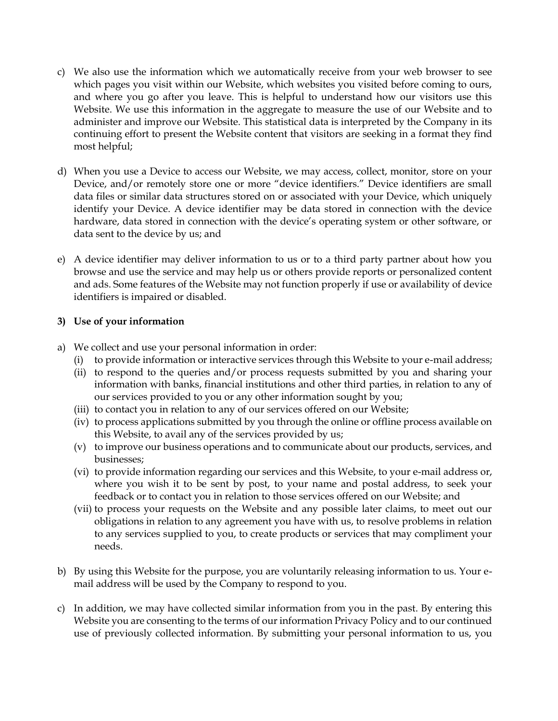- c) We also use the information which we automatically receive from your web browser to see which pages you visit within our Website, which websites you visited before coming to ours, and where you go after you leave. This is helpful to understand how our visitors use this Website. We use this information in the aggregate to measure the use of our Website and to administer and improve our Website. This statistical data is interpreted by the Company in its continuing effort to present the Website content that visitors are seeking in a format they find most helpful;
- d) When you use a Device to access our Website, we may access, collect, monitor, store on your Device, and/or remotely store one or more "device identifiers." Device identifiers are small data files or similar data structures stored on or associated with your Device, which uniquely identify your Device. A device identifier may be data stored in connection with the device hardware, data stored in connection with the device's operating system or other software, or data sent to the device by us; and
- e) A device identifier may deliver information to us or to a third party partner about how you browse and use the service and may help us or others provide reports or personalized content and ads. Some features of the Website may not function properly if use or availability of device identifiers is impaired or disabled.

#### **3) Use of your information**

- a) We collect and use your personal information in order:
	- (i) to provide information or interactive services through this Website to your e-mail address;
	- (ii) to respond to the queries and/or process requests submitted by you and sharing your information with banks, financial institutions and other third parties, in relation to any of our services provided to you or any other information sought by you;
	- (iii) to contact you in relation to any of our services offered on our Website;
	- (iv) to process applications submitted by you through the online or offline process available on this Website, to avail any of the services provided by us;
	- (v) to improve our business operations and to communicate about our products, services, and businesses;
	- (vi) to provide information regarding our services and this Website, to your e-mail address or, where you wish it to be sent by post, to your name and postal address, to seek your feedback or to contact you in relation to those services offered on our Website; and
	- (vii) to process your requests on the Website and any possible later claims, to meet out our obligations in relation to any agreement you have with us, to resolve problems in relation to any services supplied to you, to create products or services that may compliment your needs.
- b) By using this Website for the purpose, you are voluntarily releasing information to us. Your email address will be used by the Company to respond to you.
- c) In addition, we may have collected similar information from you in the past. By entering this Website you are consenting to the terms of our information Privacy Policy and to our continued use of previously collected information. By submitting your personal information to us, you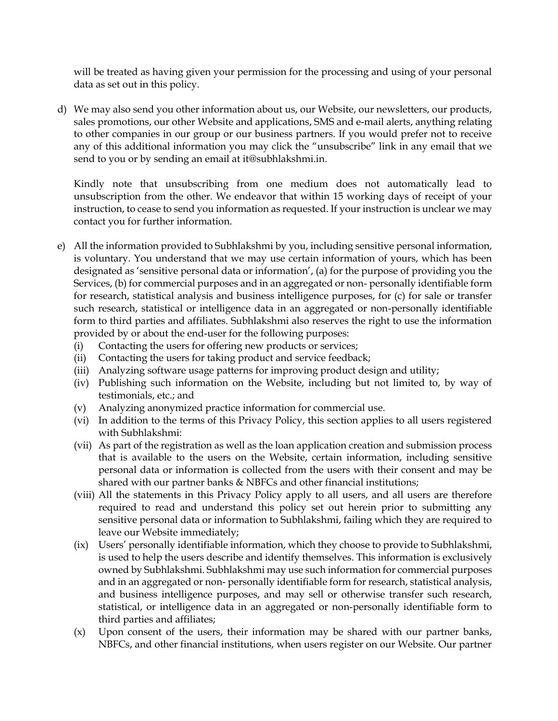will be treated as having given your permission for the processing and using of your personal data as set out in this policy.

d) We may also send you other information about us, our Website, our newsletters, our products, sales promotions, our other Website and applications, SMS and e-mail alerts, anything relating to other companies in our group or our business partners. If you would prefer not to receive any of this additional information you may click the "unsubscribe" link in any email that we send to you or by sending an email at it@subhlakshmi.in.

Kindly note that unsubscribing from one medium does not automatically lead to unsubscription from the other. We endeavor that within 15 working days of receipt of your instruction, to cease to send you information as requested. If your instruction is unclear we may contact you for further information.

- e) All the information provided to Subhlakshmi by you, including sensitive personal information, is voluntary. You understand that we may use certain information of yours, which has been designated as 'sensitive personal data or information', (a) for the purpose of providing you the Services, (b) for commercial purposes and in an aggregated or non- personally identifiable form for research, statistical analysis and business intelligence purposes, for (c) for sale or transfer such research, statistical or intelligence data in an aggregated or non-personally identifiable form to third parties and affiliates. Subhlakshmi also reserves the right to use the information provided by or about the end-user for the following purposes:
	- (i) Contacting the users for offering new products or services;
	- (ii) Contacting the users for taking product and service feedback;
	- (iii) Analyzing software usage patterns for improving product design and utility;
	- (iv) Publishing such information on the Website, including but not limited to, by way of testimonials, etc.; and
	- (v) Analyzing anonymized practice information for commercial use.
	- (vi) In addition to the terms of this Privacy Policy, this section applies to all users registered with Subhlakshmi:
	- (vii) As part of the registration as well as the loan application creation and submission process that is available to the users on the Website, certain information, including sensitive personal data or information is collected from the users with their consent and may be shared with our partner banks & NBFCs and other financial institutions;
	- (viii) All the statements in this Privacy Policy apply to all users, and all users are therefore required to read and understand this policy set out herein prior to submitting any sensitive personal data or information to Subhlakshmi, failing which they are required to leave our Website immediately;
	- (ix) Users' personally identifiable information, which they choose to provide to Subhlakshmi, is used to help the users describe and identify themselves. This information is exclusively owned by Subhlakshmi. Subhlakshmi may use such information for commercial purposes and in an aggregated or non- personally identifiable form for research, statistical analysis, and business intelligence purposes, and may sell or otherwise transfer such research, statistical, or intelligence data in an aggregated or non-personally identifiable form to third parties and affiliates;
	- (x) Upon consent of the users, their information may be shared with our partner banks, NBFCs, and other financial institutions, when users register on our Website. Our partner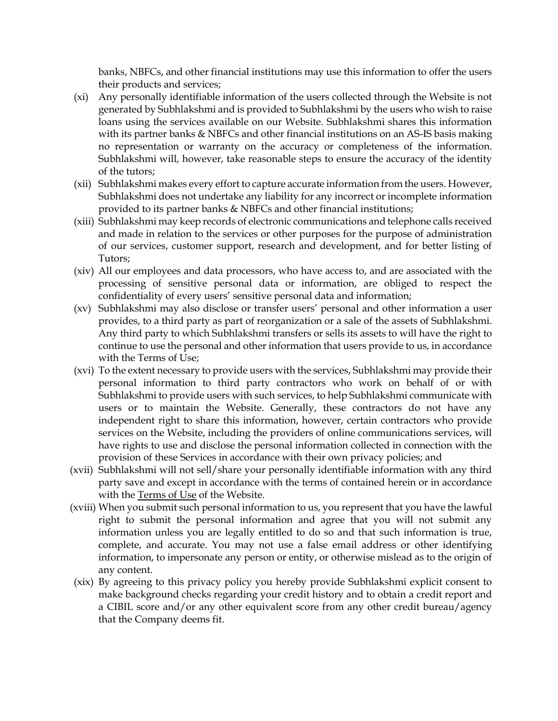banks, NBFCs, and other financial institutions may use this information to offer the users their products and services;

- (xi) Any personally identifiable information of the users collected through the Website is not generated by Subhlakshmi and is provided to Subhlakshmi by the users who wish to raise loans using the services available on our Website. Subhlakshmi shares this information with its partner banks & NBFCs and other financial institutions on an AS-IS basis making no representation or warranty on the accuracy or completeness of the information. Subhlakshmi will, however, take reasonable steps to ensure the accuracy of the identity of the tutors;
- (xii) Subhlakshmi makes every effort to capture accurate information from the users. However, Subhlakshmi does not undertake any liability for any incorrect or incomplete information provided to its partner banks & NBFCs and other financial institutions;
- (xiii) Subhlakshmi may keep records of electronic communications and telephone calls received and made in relation to the services or other purposes for the purpose of administration of our services, customer support, research and development, and for better listing of Tutors;
- (xiv) All our employees and data processors, who have access to, and are associated with the processing of sensitive personal data or information, are obliged to respect the confidentiality of every users' sensitive personal data and information;
- (xv) Subhlakshmi may also disclose or transfer users' personal and other information a user provides, to a third party as part of reorganization or a sale of the assets of Subhlakshmi. Any third party to which Subhlakshmi transfers or sells its assets to will have the right to continue to use the personal and other information that users provide to us, in accordance with the Terms of Use;
- (xvi) To the extent necessary to provide users with the services, Subhlakshmi may provide their personal information to third party contractors who work on behalf of or with Subhlakshmi to provide users with such services, to help Subhlakshmi communicate with users or to maintain the Website. Generally, these contractors do not have any independent right to share this information, however, certain contractors who provide services on the Website, including the providers of online communications services, will have rights to use and disclose the personal information collected in connection with the provision of these Services in accordance with their own privacy policies; and
- (xvii) Subhlakshmi will not sell/share your personally identifiable information with any third party save and except in accordance with the terms of contained herein or in accordance with the [Terms](https://www.smecorner.com/privacy-policy/) of Use of the Website.
- (xviii) When you submit such personal information to us, you represent that you have the lawful right to submit the personal information and agree that you will not submit any information unless you are legally entitled to do so and that such information is true, complete, and accurate. You may not use a false email address or other identifying information, to impersonate any person or entity, or otherwise mislead as to the origin of any content.
- (xix) By agreeing to this privacy policy you hereby provide Subhlakshmi explicit consent to make background checks regarding your credit history and to obtain a credit report and a CIBIL score and/or any other equivalent score from any other credit bureau/agency that the Company deems fit.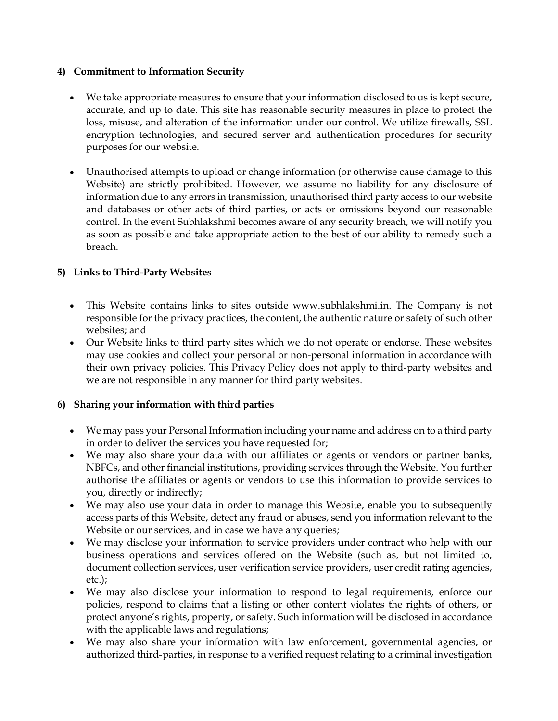#### **4) Commitment to Information Security**

- We take appropriate measures to ensure that your information disclosed to us is kept secure, accurate, and up to date. This site has reasonable security measures in place to protect the loss, misuse, and alteration of the information under our control. We utilize firewalls, SSL encryption technologies, and secured server and authentication procedures for security purposes for our website.
- Unauthorised attempts to upload or change information (or otherwise cause damage to this Website) are strictly prohibited. However, we assume no liability for any disclosure of information due to any errors in transmission, unauthorised third party access to our website and databases or other acts of third parties, or acts or omissions beyond our reasonable control. In the event Subhlakshmi becomes aware of any security breach, we will notify you as soon as possible and take appropriate action to the best of our ability to remedy such a breach.

### **5) Links to Third-Party Websites**

- This Website contains links to sites outside www.subhlakshmi.in. The Company is not responsible for the privacy practices, the content, the authentic nature or safety of such other websites; and
- Our Website links to third party sites which we do not operate or endorse. These websites may use cookies and collect your personal or non-personal information in accordance with their own privacy policies. This Privacy Policy does not apply to third-party websites and we are not responsible in any manner for third party websites.

### **6) Sharing your information with third parties**

- We may pass your Personal Information including your name and address on to a third party in order to deliver the services you have requested for;
- We may also share your data with our affiliates or agents or vendors or partner banks, NBFCs, and other financial institutions, providing services through the Website. You further authorise the affiliates or agents or vendors to use this information to provide services to you, directly or indirectly;
- We may also use your data in order to manage this Website, enable you to subsequently access parts of this Website, detect any fraud or abuses, send you information relevant to the Website or our services, and in case we have any queries;
- We may disclose your information to service providers under contract who help with our business operations and services offered on the Website (such as, but not limited to, document collection services, user verification service providers, user credit rating agencies, etc.);
- We may also disclose your information to respond to legal requirements, enforce our policies, respond to claims that a listing or other content violates the rights of others, or protect anyone's rights, property, or safety. Such information will be disclosed in accordance with the applicable laws and regulations;
- We may also share your information with law enforcement, governmental agencies, or authorized third-parties, in response to a verified request relating to a criminal investigation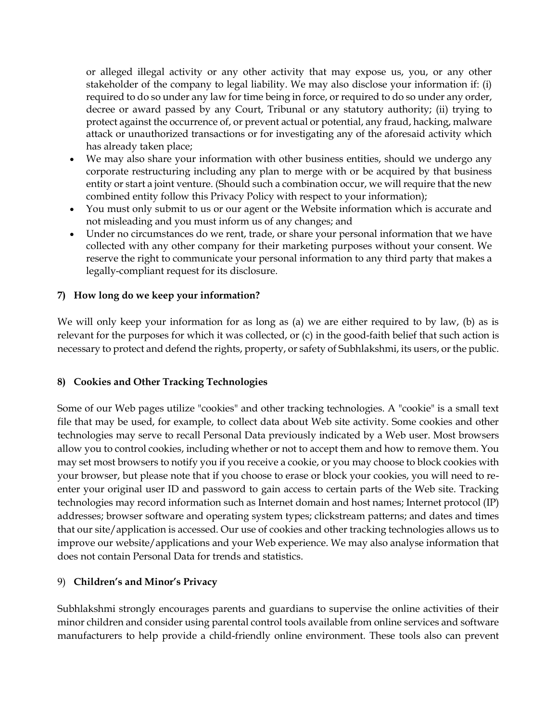or alleged illegal activity or any other activity that may expose us, you, or any other stakeholder of the company to legal liability. We may also disclose your information if: (i) required to do so under any law for time being in force, or required to do so under any order, decree or award passed by any Court, Tribunal or any statutory authority; (ii) trying to protect against the occurrence of, or prevent actual or potential, any fraud, hacking, malware attack or unauthorized transactions or for investigating any of the aforesaid activity which has already taken place;

- We may also share your information with other business entities, should we undergo any corporate restructuring including any plan to merge with or be acquired by that business entity or start a joint venture. (Should such a combination occur, we will require that the new combined entity follow this Privacy Policy with respect to your information);
- You must only submit to us or our agent or the Website information which is accurate and not misleading and you must inform us of any changes; and
- Under no circumstances do we rent, trade, or share your personal information that we have collected with any other company for their marketing purposes without your consent. We reserve the right to communicate your personal information to any third party that makes a legally-compliant request for its disclosure.

### **7) How long do we keep your information?**

We will only keep your information for as long as (a) we are either required to by law, (b) as is relevant for the purposes for which it was collected, or (c) in the good-faith belief that such action is necessary to protect and defend the rights, property, or safety of Subhlakshmi, its users, or the public.

### **8) Cookies and Other Tracking Technologies**

Some of our Web pages utilize "cookies" and other tracking technologies. A "cookie" is a small text file that may be used, for example, to collect data about Web site activity. Some cookies and other technologies may serve to recall Personal Data previously indicated by a Web user. Most browsers allow you to control cookies, including whether or not to accept them and how to remove them. You may set most browsers to notify you if you receive a cookie, or you may choose to block cookies with your browser, but please note that if you choose to erase or block your cookies, you will need to reenter your original user ID and password to gain access to certain parts of the Web site. Tracking technologies may record information such as Internet domain and host names; Internet protocol (IP) addresses; browser software and operating system types; clickstream patterns; and dates and times that our site/application is accessed. Our use of cookies and other tracking technologies allows us to improve our website/applications and your Web experience. We may also analyse information that does not contain Personal Data for trends and statistics.

### 9) **Children's and Minor's Privacy**

Subhlakshmi strongly encourages parents and guardians to supervise the online activities of their minor children and consider using parental control tools available from online services and software manufacturers to help provide a child-friendly online environment. These tools also can prevent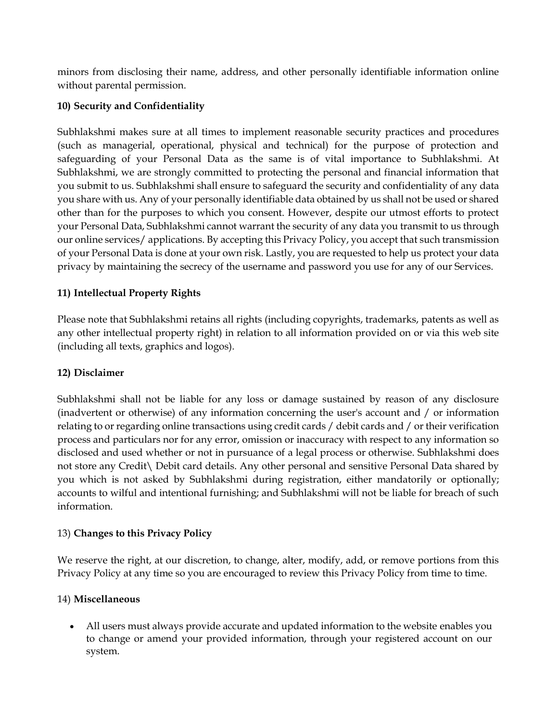minors from disclosing their name, address, and other personally identifiable information online without parental permission.

# **10) Security and Confidentiality**

Subhlakshmi makes sure at all times to implement reasonable security practices and procedures (such as managerial, operational, physical and technical) for the purpose of protection and safeguarding of your Personal Data as the same is of vital importance to Subhlakshmi. At Subhlakshmi, we are strongly committed to protecting the personal and financial information that you submit to us. Subhlakshmi shall ensure to safeguard the security and confidentiality of any data you share with us. Any of your personally identifiable data obtained by us shall not be used or shared other than for the purposes to which you consent. However, despite our utmost efforts to protect your Personal Data, Subhlakshmi cannot warrant the security of any data you transmit to us through our online services/ applications. By accepting this Privacy Policy, you accept that such transmission of your Personal Data is done at your own risk. Lastly, you are requested to help us protect your data privacy by maintaining the secrecy of the username and password you use for any of our Services.

# **11) Intellectual Property Rights**

Please note that Subhlakshmi retains all rights (including copyrights, trademarks, patents as well as any other intellectual property right) in relation to all information provided on or via this web site (including all texts, graphics and logos).

### **12) Disclaimer**

Subhlakshmi shall not be liable for any loss or damage sustained by reason of any disclosure (inadvertent or otherwise) of any information concerning the user's account and / or information relating to or regarding online transactions using credit cards / debit cards and / or their verification process and particulars nor for any error, omission or inaccuracy with respect to any information so disclosed and used whether or not in pursuance of a legal process or otherwise. Subhlakshmi does not store any Credit\ Debit card details. Any other personal and sensitive Personal Data shared by you which is not asked by Subhlakshmi during registration, either mandatorily or optionally; accounts to wilful and intentional furnishing; and Subhlakshmi will not be liable for breach of such information.

### 13) **Changes to this Privacy Policy**

We reserve the right, at our discretion, to change, alter, modify, add, or remove portions from this Privacy Policy at any time so you are encouraged to review this Privacy Policy from time to time.

### 14) **Miscellaneous**

 All users must always provide accurate and updated information to the website enables you to change or amend your provided information, through your registered account on our system.